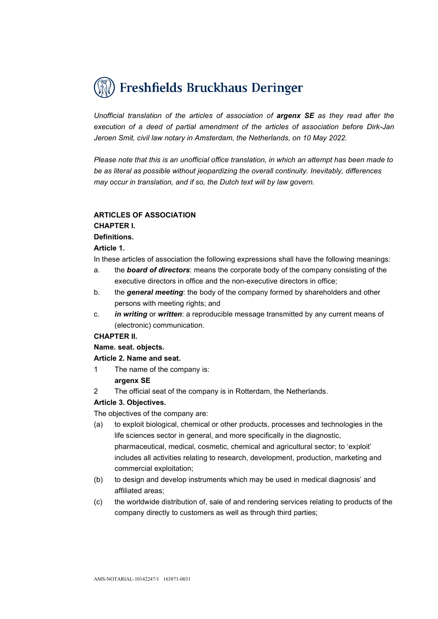

Unofficial translation of the articles of association of argenx SE as they read after the execution of a deed of partial amendment of the articles of association before Dirk-Jan Jeroen Smit, civil law notary in Amsterdam, the Netherlands, on 10 May 2022.

Please note that this is an unofficial office translation, in which an attempt has been made to be as literal as possible without jeopardizing the overall continuity. Inevitably, differences may occur in translation, and if so, the Dutch text will by law govern.

## ARTICLES OF ASSOCIATION

## CHAPTER I.

# Definitions.

## Article 1.

In these articles of association the following expressions shall have the following meanings:

- a. the **board of directors**: means the corporate body of the company consisting of the executive directors in office and the non-executive directors in office;
- b. the general meeting: the body of the company formed by shareholders and other persons with meeting rights; and
- c. **in writing or written**: a reproducible message transmitted by any current means of (electronic) communication.

# CHAPTER II.

# Name. seat. objects.

# Article 2. Name and seat.

- 1 The name of the company is: argenx SE
- 2 The official seat of the company is in Rotterdam, the Netherlands.

# Article 3. Objectives.

The objectives of the company are:

- (a) to exploit biological, chemical or other products, processes and technologies in the life sciences sector in general, and more specifically in the diagnostic, pharmaceutical, medical, cosmetic, chemical and agricultural sector; to 'exploit' includes all activities relating to research, development, production, marketing and commercial exploitation;
- (b) to design and develop instruments which may be used in medical diagnosis' and affiliated areas;
- (c) the worldwide distribution of, sale of and rendering services relating to products of the company directly to customers as well as through third parties;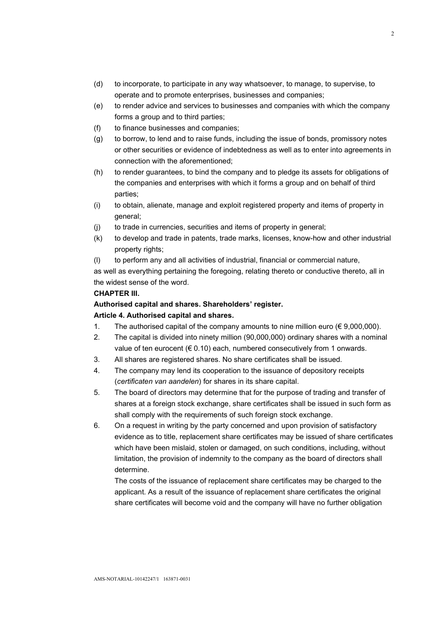- (d) to incorporate, to participate in any way whatsoever, to manage, to supervise, to operate and to promote enterprises, businesses and companies;
- (e) to render advice and services to businesses and companies with which the company forms a group and to third parties;
- (f) to finance businesses and companies;
- (g) to borrow, to lend and to raise funds, including the issue of bonds, promissory notes or other securities or evidence of indebtedness as well as to enter into agreements in connection with the aforementioned;
- (h) to render guarantees, to bind the company and to pledge its assets for obligations of the companies and enterprises with which it forms a group and on behalf of third parties;
- (i) to obtain, alienate, manage and exploit registered property and items of property in general;
- (j) to trade in currencies, securities and items of property in general;
- (k) to develop and trade in patents, trade marks, licenses, know-how and other industrial property rights;
- (l) to perform any and all activities of industrial, financial or commercial nature,

as well as everything pertaining the foregoing, relating thereto or conductive thereto, all in the widest sense of the word.

# CHAPTER III.

## Authorised capital and shares. Shareholders' register.

## Article 4. Authorised capital and shares.

- 1. The authorised capital of the company amounts to nine million euro  $(\epsilon 9.000.000)$ .
- 2. The capital is divided into ninety million (90,000,000) ordinary shares with a nominal value of ten eurocent ( $\in$  0.10) each, numbered consecutively from 1 onwards.
- 3. All shares are registered shares. No share certificates shall be issued.
- 4. The company may lend its cooperation to the issuance of depository receipts (certificaten van aandelen) for shares in its share capital.
- 5. The board of directors may determine that for the purpose of trading and transfer of shares at a foreign stock exchange, share certificates shall be issued in such form as shall comply with the requirements of such foreign stock exchange.
- 6. On a request in writing by the party concerned and upon provision of satisfactory evidence as to title, replacement share certificates may be issued of share certificates which have been mislaid, stolen or damaged, on such conditions, including, without limitation, the provision of indemnity to the company as the board of directors shall determine.

The costs of the issuance of replacement share certificates may be charged to the applicant. As a result of the issuance of replacement share certificates the original share certificates will become void and the company will have no further obligation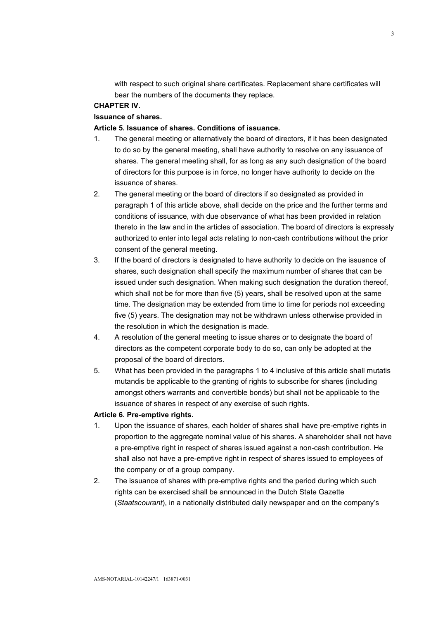with respect to such original share certificates. Replacement share certificates will bear the numbers of the documents they replace.

# CHAPTER IV.

# Issuance of shares.

## Article 5. Issuance of shares. Conditions of issuance.

- 1. The general meeting or alternatively the board of directors, if it has been designated to do so by the general meeting, shall have authority to resolve on any issuance of shares. The general meeting shall, for as long as any such designation of the board of directors for this purpose is in force, no longer have authority to decide on the issuance of shares.
- 2. The general meeting or the board of directors if so designated as provided in paragraph 1 of this article above, shall decide on the price and the further terms and conditions of issuance, with due observance of what has been provided in relation thereto in the law and in the articles of association. The board of directors is expressly authorized to enter into legal acts relating to non-cash contributions without the prior consent of the general meeting.
- 3. If the board of directors is designated to have authority to decide on the issuance of shares, such designation shall specify the maximum number of shares that can be issued under such designation. When making such designation the duration thereof, which shall not be for more than five (5) years, shall be resolved upon at the same time. The designation may be extended from time to time for periods not exceeding five (5) years. The designation may not be withdrawn unless otherwise provided in the resolution in which the designation is made.
- 4. A resolution of the general meeting to issue shares or to designate the board of directors as the competent corporate body to do so, can only be adopted at the proposal of the board of directors.
- 5. What has been provided in the paragraphs 1 to 4 inclusive of this article shall mutatis mutandis be applicable to the granting of rights to subscribe for shares (including amongst others warrants and convertible bonds) but shall not be applicable to the issuance of shares in respect of any exercise of such rights.

## Article 6. Pre-emptive rights.

- 1. Upon the issuance of shares, each holder of shares shall have pre-emptive rights in proportion to the aggregate nominal value of his shares. A shareholder shall not have a pre-emptive right in respect of shares issued against a non-cash contribution. He shall also not have a pre-emptive right in respect of shares issued to employees of the company or of a group company.
- 2. The issuance of shares with pre-emptive rights and the period during which such rights can be exercised shall be announced in the Dutch State Gazette (Staatscourant), in a nationally distributed daily newspaper and on the company's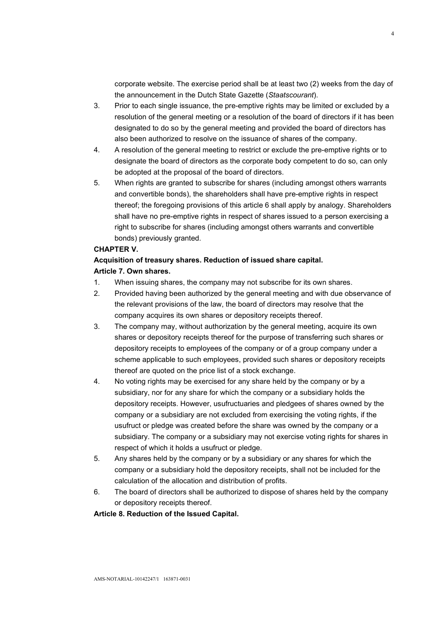corporate website. The exercise period shall be at least two (2) weeks from the day of the announcement in the Dutch State Gazette (Staatscourant).

- 3. Prior to each single issuance, the pre-emptive rights may be limited or excluded by a resolution of the general meeting or a resolution of the board of directors if it has been designated to do so by the general meeting and provided the board of directors has also been authorized to resolve on the issuance of shares of the company.
- 4. A resolution of the general meeting to restrict or exclude the pre-emptive rights or to designate the board of directors as the corporate body competent to do so, can only be adopted at the proposal of the board of directors.
- 5. When rights are granted to subscribe for shares (including amongst others warrants and convertible bonds), the shareholders shall have pre-emptive rights in respect thereof; the foregoing provisions of this article 6 shall apply by analogy. Shareholders shall have no pre-emptive rights in respect of shares issued to a person exercising a right to subscribe for shares (including amongst others warrants and convertible bonds) previously granted.

## CHAPTER V.

# Acquisition of treasury shares. Reduction of issued share capital. Article 7. Own shares.

- 1. When issuing shares, the company may not subscribe for its own shares.
- 2. Provided having been authorized by the general meeting and with due observance of the relevant provisions of the law, the board of directors may resolve that the company acquires its own shares or depository receipts thereof.
- 3. The company may, without authorization by the general meeting, acquire its own shares or depository receipts thereof for the purpose of transferring such shares or depository receipts to employees of the company or of a group company under a scheme applicable to such employees, provided such shares or depository receipts thereof are quoted on the price list of a stock exchange.
- 4. No voting rights may be exercised for any share held by the company or by a subsidiary, nor for any share for which the company or a subsidiary holds the depository receipts. However, usufructuaries and pledgees of shares owned by the company or a subsidiary are not excluded from exercising the voting rights, if the usufruct or pledge was created before the share was owned by the company or a subsidiary. The company or a subsidiary may not exercise voting rights for shares in respect of which it holds a usufruct or pledge.
- 5. Any shares held by the company or by a subsidiary or any shares for which the company or a subsidiary hold the depository receipts, shall not be included for the calculation of the allocation and distribution of profits.
- 6. The board of directors shall be authorized to dispose of shares held by the company or depository receipts thereof.

Article 8. Reduction of the Issued Capital.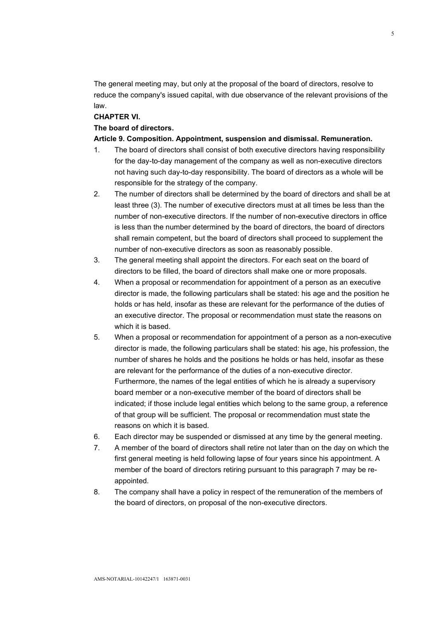The general meeting may, but only at the proposal of the board of directors, resolve to reduce the company's issued capital, with due observance of the relevant provisions of the law.

# CHAPTER VI.

## The board of directors.

#### Article 9. Composition. Appointment, suspension and dismissal. Remuneration.

- 1. The board of directors shall consist of both executive directors having responsibility for the day-to-day management of the company as well as non-executive directors not having such day-to-day responsibility. The board of directors as a whole will be responsible for the strategy of the company.
- 2. The number of directors shall be determined by the board of directors and shall be at least three (3). The number of executive directors must at all times be less than the number of non-executive directors. If the number of non-executive directors in office is less than the number determined by the board of directors, the board of directors shall remain competent, but the board of directors shall proceed to supplement the number of non-executive directors as soon as reasonably possible.
- 3. The general meeting shall appoint the directors. For each seat on the board of directors to be filled, the board of directors shall make one or more proposals.
- 4. When a proposal or recommendation for appointment of a person as an executive director is made, the following particulars shall be stated: his age and the position he holds or has held, insofar as these are relevant for the performance of the duties of an executive director. The proposal or recommendation must state the reasons on which it is based.
- 5. When a proposal or recommendation for appointment of a person as a non-executive director is made, the following particulars shall be stated: his age, his profession, the number of shares he holds and the positions he holds or has held, insofar as these are relevant for the performance of the duties of a non-executive director. Furthermore, the names of the legal entities of which he is already a supervisory board member or a non-executive member of the board of directors shall be indicated; if those include legal entities which belong to the same group, a reference of that group will be sufficient. The proposal or recommendation must state the reasons on which it is based.
- 6. Each director may be suspended or dismissed at any time by the general meeting.
- 7. A member of the board of directors shall retire not later than on the day on which the first general meeting is held following lapse of four years since his appointment. A member of the board of directors retiring pursuant to this paragraph 7 may be reappointed.
- 8. The company shall have a policy in respect of the remuneration of the members of the board of directors, on proposal of the non-executive directors.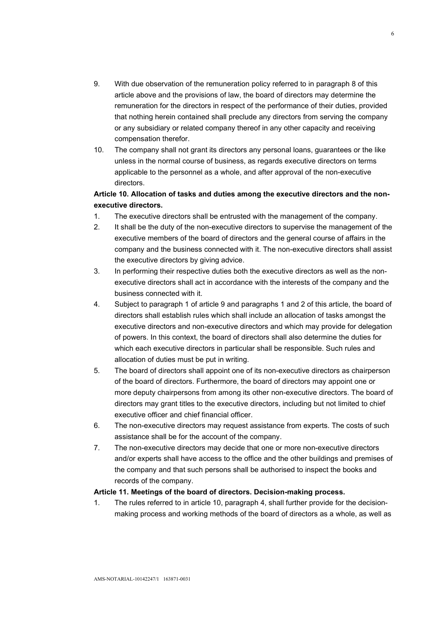- 9. With due observation of the remuneration policy referred to in paragraph 8 of this article above and the provisions of law, the board of directors may determine the remuneration for the directors in respect of the performance of their duties, provided that nothing herein contained shall preclude any directors from serving the company or any subsidiary or related company thereof in any other capacity and receiving compensation therefor.
- 10. The company shall not grant its directors any personal loans, guarantees or the like unless in the normal course of business, as regards executive directors on terms applicable to the personnel as a whole, and after approval of the non-executive directors.

# Article 10. Allocation of tasks and duties among the executive directors and the nonexecutive directors.

- 1. The executive directors shall be entrusted with the management of the company.
- 2. It shall be the duty of the non-executive directors to supervise the management of the executive members of the board of directors and the general course of affairs in the company and the business connected with it. The non-executive directors shall assist the executive directors by giving advice.
- 3. In performing their respective duties both the executive directors as well as the nonexecutive directors shall act in accordance with the interests of the company and the business connected with it.
- 4. Subject to paragraph 1 of article 9 and paragraphs 1 and 2 of this article, the board of directors shall establish rules which shall include an allocation of tasks amongst the executive directors and non-executive directors and which may provide for delegation of powers. In this context, the board of directors shall also determine the duties for which each executive directors in particular shall be responsible. Such rules and allocation of duties must be put in writing.
- 5. The board of directors shall appoint one of its non-executive directors as chairperson of the board of directors. Furthermore, the board of directors may appoint one or more deputy chairpersons from among its other non-executive directors. The board of directors may grant titles to the executive directors, including but not limited to chief executive officer and chief financial officer.
- 6. The non-executive directors may request assistance from experts. The costs of such assistance shall be for the account of the company.
- 7. The non-executive directors may decide that one or more non-executive directors and/or experts shall have access to the office and the other buildings and premises of the company and that such persons shall be authorised to inspect the books and records of the company.

## Article 11. Meetings of the board of directors. Decision-making process.

1. The rules referred to in article 10, paragraph 4, shall further provide for the decisionmaking process and working methods of the board of directors as a whole, as well as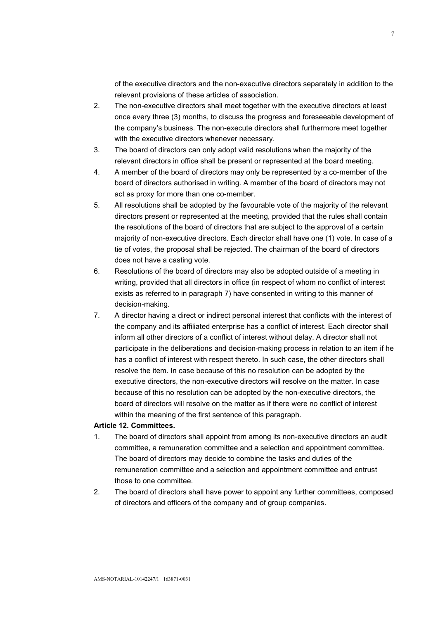of the executive directors and the non-executive directors separately in addition to the relevant provisions of these articles of association.

- 2. The non-executive directors shall meet together with the executive directors at least once every three (3) months, to discuss the progress and foreseeable development of the company's business. The non-execute directors shall furthermore meet together with the executive directors whenever necessary.
- 3. The board of directors can only adopt valid resolutions when the majority of the relevant directors in office shall be present or represented at the board meeting.
- 4. A member of the board of directors may only be represented by a co-member of the board of directors authorised in writing. A member of the board of directors may not act as proxy for more than one co-member.
- 5. All resolutions shall be adopted by the favourable vote of the majority of the relevant directors present or represented at the meeting, provided that the rules shall contain the resolutions of the board of directors that are subject to the approval of a certain majority of non-executive directors. Each director shall have one (1) vote. In case of a tie of votes, the proposal shall be rejected. The chairman of the board of directors does not have a casting vote.
- 6. Resolutions of the board of directors may also be adopted outside of a meeting in writing, provided that all directors in office (in respect of whom no conflict of interest exists as referred to in paragraph 7) have consented in writing to this manner of decision-making.
- 7. A director having a direct or indirect personal interest that conflicts with the interest of the company and its affiliated enterprise has a conflict of interest. Each director shall inform all other directors of a conflict of interest without delay. A director shall not participate in the deliberations and decision-making process in relation to an item if he has a conflict of interest with respect thereto. In such case, the other directors shall resolve the item. In case because of this no resolution can be adopted by the executive directors, the non-executive directors will resolve on the matter. In case because of this no resolution can be adopted by the non-executive directors, the board of directors will resolve on the matter as if there were no conflict of interest within the meaning of the first sentence of this paragraph.

## Article 12. Committees.

- 1. The board of directors shall appoint from among its non-executive directors an audit committee, a remuneration committee and a selection and appointment committee. The board of directors may decide to combine the tasks and duties of the remuneration committee and a selection and appointment committee and entrust those to one committee.
- 2. The board of directors shall have power to appoint any further committees, composed of directors and officers of the company and of group companies.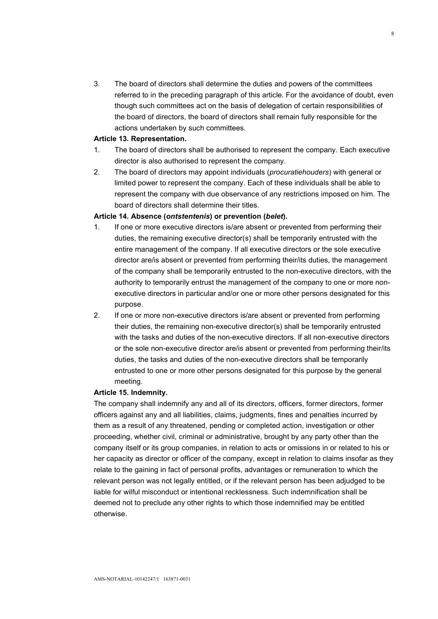3. The board of directors shall determine the duties and powers of the committees referred to in the preceding paragraph of this article. For the avoidance of doubt, even though such committees act on the basis of delegation of certain responsibilities of the board of directors, the board of directors shall remain fully responsible for the actions undertaken by such committees.

#### Article 13. Representation.

- 1. The board of directors shall be authorised to represent the company. Each executive director is also authorised to represent the company.
- 2. The board of directors may appoint individuals (procuratiehouders) with general or limited power to represent the company. Each of these individuals shall be able to represent the company with due observance of any restrictions imposed on him. The board of directors shall determine their titles.

#### Article 14. Absence (ontstentenis) or prevention (belet).

- 1. If one or more executive directors is/are absent or prevented from performing their duties, the remaining executive director(s) shall be temporarily entrusted with the entire management of the company. If all executive directors or the sole executive director are/is absent or prevented from performing their/its duties, the management of the company shall be temporarily entrusted to the non-executive directors, with the authority to temporarily entrust the management of the company to one or more nonexecutive directors in particular and/or one or more other persons designated for this purpose.
- 2. If one or more non-executive directors is/are absent or prevented from performing their duties, the remaining non-executive director(s) shall be temporarily entrusted with the tasks and duties of the non-executive directors. If all non-executive directors or the sole non-executive director are/is absent or prevented from performing their/its duties, the tasks and duties of the non-executive directors shall be temporarily entrusted to one or more other persons designated for this purpose by the general meeting.

#### Article 15. Indemnity.

The company shall indemnify any and all of its directors, officers, former directors, former officers against any and all liabilities, claims, judgments, fines and penalties incurred by them as a result of any threatened, pending or completed action, investigation or other proceeding, whether civil, criminal or administrative, brought by any party other than the company itself or its group companies, in relation to acts or omissions in or related to his or her capacity as director or officer of the company, except in relation to claims insofar as they relate to the gaining in fact of personal profits, advantages or remuneration to which the relevant person was not legally entitled, or if the relevant person has been adjudged to be liable for wilful misconduct or intentional recklessness. Such indemnification shall be deemed not to preclude any other rights to which those indemnified may be entitled otherwise.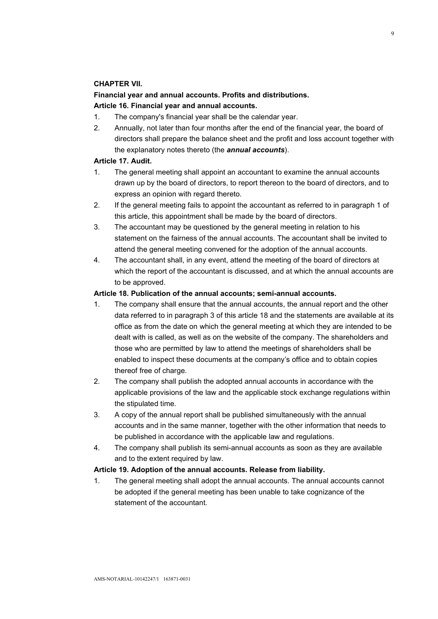## CHAPTER VII.

# Financial year and annual accounts. Profits and distributions. Article 16. Financial year and annual accounts.

- 1. The company's financial year shall be the calendar year.
- 2. Annually, not later than four months after the end of the financial year, the board of directors shall prepare the balance sheet and the profit and loss account together with the explanatory notes thereto (the **annual accounts**).

## Article 17. Audit.

- 1. The general meeting shall appoint an accountant to examine the annual accounts drawn up by the board of directors, to report thereon to the board of directors, and to express an opinion with regard thereto.
- 2. If the general meeting fails to appoint the accountant as referred to in paragraph 1 of this article, this appointment shall be made by the board of directors.
- 3. The accountant may be questioned by the general meeting in relation to his statement on the fairness of the annual accounts. The accountant shall be invited to attend the general meeting convened for the adoption of the annual accounts.
- 4. The accountant shall, in any event, attend the meeting of the board of directors at which the report of the accountant is discussed, and at which the annual accounts are to be approved.

## Article 18. Publication of the annual accounts; semi-annual accounts.

- 1. The company shall ensure that the annual accounts, the annual report and the other data referred to in paragraph 3 of this article 18 and the statements are available at its office as from the date on which the general meeting at which they are intended to be dealt with is called, as well as on the website of the company. The shareholders and those who are permitted by law to attend the meetings of shareholders shall be enabled to inspect these documents at the company's office and to obtain copies thereof free of charge.
- 2. The company shall publish the adopted annual accounts in accordance with the applicable provisions of the law and the applicable stock exchange regulations within the stipulated time.
- 3. A copy of the annual report shall be published simultaneously with the annual accounts and in the same manner, together with the other information that needs to be published in accordance with the applicable law and regulations.
- 4. The company shall publish its semi-annual accounts as soon as they are available and to the extent required by law.

## Article 19. Adoption of the annual accounts. Release from liability.

1. The general meeting shall adopt the annual accounts. The annual accounts cannot be adopted if the general meeting has been unable to take cognizance of the statement of the accountant.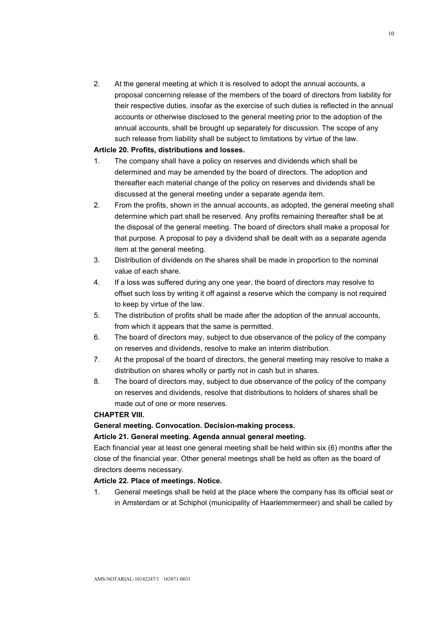2. At the general meeting at which it is resolved to adopt the annual accounts, a proposal concerning release of the members of the board of directors from liability for their respective duties, insofar as the exercise of such duties is reflected in the annual accounts or otherwise disclosed to the general meeting prior to the adoption of the annual accounts, shall be brought up separately for discussion. The scope of any such release from liability shall be subject to limitations by virtue of the law.

## Article 20. Profits, distributions and losses.

- 1. The company shall have a policy on reserves and dividends which shall be determined and may be amended by the board of directors. The adoption and thereafter each material change of the policy on reserves and dividends shall be discussed at the general meeting under a separate agenda item.
- 2. From the profits, shown in the annual accounts, as adopted, the general meeting shall determine which part shall be reserved. Any profits remaining thereafter shall be at the disposal of the general meeting. The board of directors shall make a proposal for that purpose. A proposal to pay a dividend shall be dealt with as a separate agenda item at the general meeting.
- 3. Distribution of dividends on the shares shall be made in proportion to the nominal value of each share.
- 4. If a loss was suffered during any one year, the board of directors may resolve to offset such loss by writing it off against a reserve which the company is not required to keep by virtue of the law.
- 5. The distribution of profits shall be made after the adoption of the annual accounts, from which it appears that the same is permitted.
- 6. The board of directors may, subject to due observance of the policy of the company on reserves and dividends, resolve to make an interim distribution.
- 7. At the proposal of the board of directors, the general meeting may resolve to make a distribution on shares wholly or partly not in cash but in shares.
- 8. The board of directors may, subject to due observance of the policy of the company on reserves and dividends, resolve that distributions to holders of shares shall be made out of one or more reserves.

## CHAPTER VIII.

# General meeting. Convocation. Decision-making process.

## Article 21. General meeting. Agenda annual general meeting.

Each financial year at least one general meeting shall be held within six (6) months after the close of the financial year. Other general meetings shall be held as often as the board of directors deems necessary.

## Article 22. Place of meetings. Notice.

1. General meetings shall be held at the place where the company has its official seat or in Amsterdam or at Schiphol (municipality of Haarlemmermeer) and shall be called by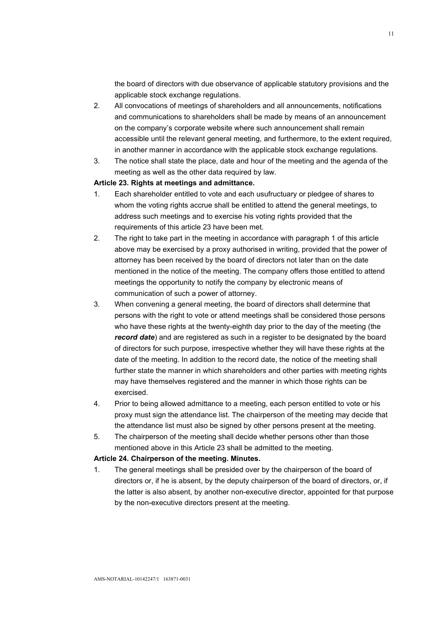the board of directors with due observance of applicable statutory provisions and the applicable stock exchange regulations.

- 2. All convocations of meetings of shareholders and all announcements, notifications and communications to shareholders shall be made by means of an announcement on the company's corporate website where such announcement shall remain accessible until the relevant general meeting, and furthermore, to the extent required, in another manner in accordance with the applicable stock exchange regulations.
- 3. The notice shall state the place, date and hour of the meeting and the agenda of the meeting as well as the other data required by law.

## Article 23. Rights at meetings and admittance.

- 1. Each shareholder entitled to vote and each usufructuary or pledgee of shares to whom the voting rights accrue shall be entitled to attend the general meetings, to address such meetings and to exercise his voting rights provided that the requirements of this article 23 have been met.
- 2. The right to take part in the meeting in accordance with paragraph 1 of this article above may be exercised by a proxy authorised in writing, provided that the power of attorney has been received by the board of directors not later than on the date mentioned in the notice of the meeting. The company offers those entitled to attend meetings the opportunity to notify the company by electronic means of communication of such a power of attorney.
- 3. When convening a general meeting, the board of directors shall determine that persons with the right to vote or attend meetings shall be considered those persons who have these rights at the twenty-eighth day prior to the day of the meeting (the record date) and are registered as such in a register to be designated by the board of directors for such purpose, irrespective whether they will have these rights at the date of the meeting. In addition to the record date, the notice of the meeting shall further state the manner in which shareholders and other parties with meeting rights may have themselves registered and the manner in which those rights can be exercised.
- 4. Prior to being allowed admittance to a meeting, each person entitled to vote or his proxy must sign the attendance list. The chairperson of the meeting may decide that the attendance list must also be signed by other persons present at the meeting.
- 5. The chairperson of the meeting shall decide whether persons other than those mentioned above in this Article 23 shall be admitted to the meeting.

#### Article 24. Chairperson of the meeting. Minutes.

1. The general meetings shall be presided over by the chairperson of the board of directors or, if he is absent, by the deputy chairperson of the board of directors, or, if the latter is also absent, by another non-executive director, appointed for that purpose by the non-executive directors present at the meeting.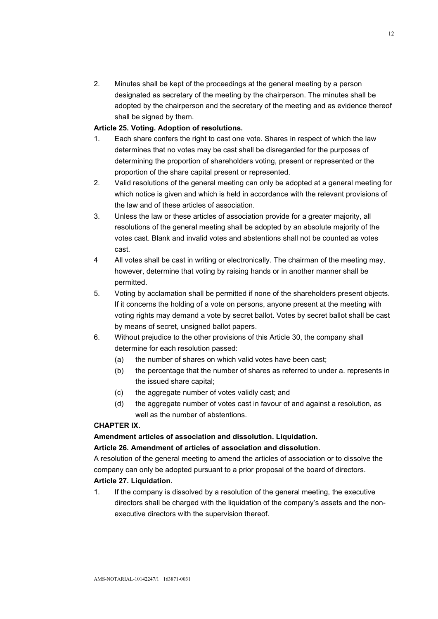2. Minutes shall be kept of the proceedings at the general meeting by a person designated as secretary of the meeting by the chairperson. The minutes shall be adopted by the chairperson and the secretary of the meeting and as evidence thereof shall be signed by them.

## Article 25. Voting. Adoption of resolutions.

- 1. Each share confers the right to cast one vote. Shares in respect of which the law determines that no votes may be cast shall be disregarded for the purposes of determining the proportion of shareholders voting, present or represented or the proportion of the share capital present or represented.
- 2. Valid resolutions of the general meeting can only be adopted at a general meeting for which notice is given and which is held in accordance with the relevant provisions of the law and of these articles of association.
- 3. Unless the law or these articles of association provide for a greater majority, all resolutions of the general meeting shall be adopted by an absolute majority of the votes cast. Blank and invalid votes and abstentions shall not be counted as votes cast.
- 4 All votes shall be cast in writing or electronically. The chairman of the meeting may, however, determine that voting by raising hands or in another manner shall be permitted.
- 5. Voting by acclamation shall be permitted if none of the shareholders present objects. If it concerns the holding of a vote on persons, anyone present at the meeting with voting rights may demand a vote by secret ballot. Votes by secret ballot shall be cast by means of secret, unsigned ballot papers.
- 6. Without prejudice to the other provisions of this Article 30, the company shall determine for each resolution passed:
	- (a) the number of shares on which valid votes have been cast;
	- (b) the percentage that the number of shares as referred to under a. represents in the issued share capital;
	- (c) the aggregate number of votes validly cast; and
	- (d) the aggregate number of votes cast in favour of and against a resolution, as well as the number of abstentions.

# CHAPTER IX.

# Amendment articles of association and dissolution. Liquidation.

# Article 26. Amendment of articles of association and dissolution.

A resolution of the general meeting to amend the articles of association or to dissolve the company can only be adopted pursuant to a prior proposal of the board of directors.

# Article 27. Liquidation.

1. If the company is dissolved by a resolution of the general meeting, the executive directors shall be charged with the liquidation of the company's assets and the nonexecutive directors with the supervision thereof.